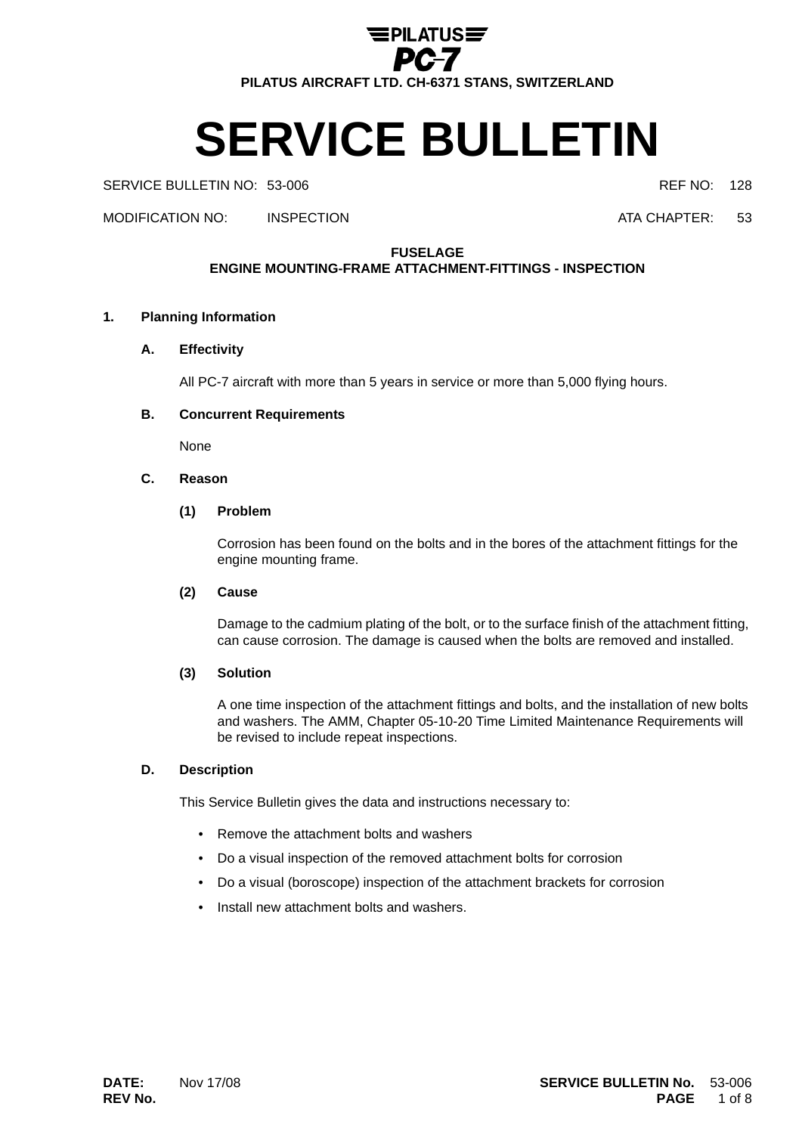

# **SERVICE BULLETIN**

SERVICE BULLETIN NO: 53-006 **REF NO: 128** 

MODIFICATION NO: INSPECTION ATA CHAPTER: 53

**FUSELAGE**

# **ENGINE MOUNTING-FRAME ATTACHMENT-FITTINGS - INSPECTION**

# **1. Planning Information**

**A. Effectivity**

All PC-7 aircraft with more than 5 years in service or more than 5,000 flying hours.

# **B. Concurrent Requirements**

None

# **C. Reason**

# **(1) Problem**

Corrosion has been found on the bolts and in the bores of the attachment fittings for the engine mounting frame.

# **(2) Cause**

Damage to the cadmium plating of the bolt, or to the surface finish of the attachment fitting, can cause corrosion. The damage is caused when the bolts are removed and installed.

# **(3) Solution**

A one time inspection of the attachment fittings and bolts, and the installation of new bolts and washers. The AMM, Chapter 05-10-20 Time Limited Maintenance Requirements will be revised to include repeat inspections.

# **D. Description**

This Service Bulletin gives the data and instructions necessary to:

- Remove the attachment bolts and washers
- Do a visual inspection of the removed attachment bolts for corrosion
- Do a visual (boroscope) inspection of the attachment brackets for corrosion
- Install new attachment bolts and washers.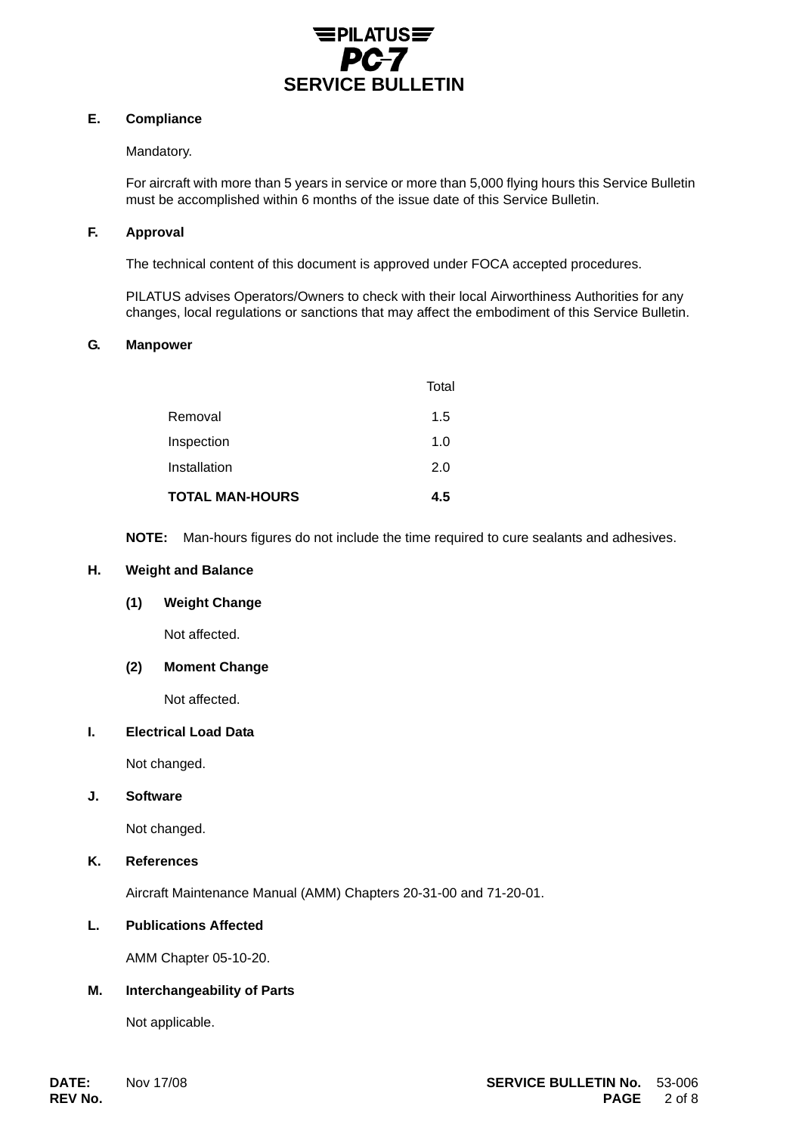

# **E. Compliance**

# Mandatory.

For aircraft with more than 5 years in service or more than 5,000 flying hours this Service Bulletin must be accomplished within 6 months of the issue date of this Service Bulletin.

#### **F. Approval**

The technical content of this document is approved under FOCA accepted procedures.

PILATUS advises Operators/Owners to check with their local Airworthiness Authorities for any changes, local regulations or sanctions that may affect the embodiment of this Service Bulletin.

#### **G. Manpower**

| <b>TOTAL MAN-HOURS</b> | 4.5   |
|------------------------|-------|
| Installation           | 2.0   |
| Inspection             | 1.0   |
| Removal                | 1.5   |
|                        | Total |

**NOTE:** Man-hours figures do not include the time required to cure sealants and adhesives.

# **H. Weight and Balance**

# **(1) Weight Change**

Not affected.

# **(2) Moment Change**

Not affected.

# **I. Electrical Load Data**

Not changed.

# **J. Software**

Not changed.

# **K. References**

Aircraft Maintenance Manual (AMM) Chapters 20-31-00 and 71-20-01.

# **L. Publications Affected**

AMM Chapter 05-10-20.

# **M. Interchangeability of Parts**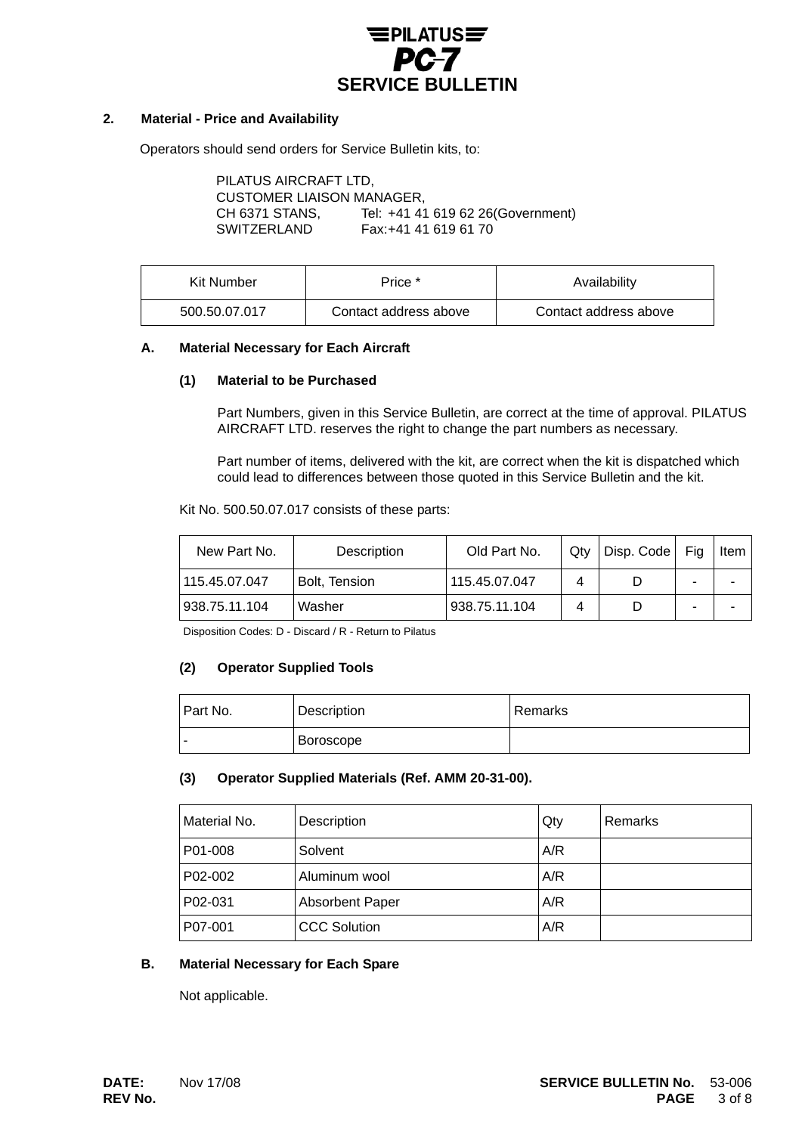

# **2. Material - Price and Availability**

Operators should send orders for Service Bulletin kits, to:

| PILATUS AIRCRAFT LTD,     |                                   |
|---------------------------|-----------------------------------|
| CUSTOMER LIAISON MANAGER, |                                   |
| CH 6371 STANS.            | Tel: +41 41 619 62 26(Government) |
| SWITZERLAND               | Fax: +41 41 619 61 70             |
|                           |                                   |

| Kit Number    | Price *               | Availability          |
|---------------|-----------------------|-----------------------|
| 500.50.07.017 | Contact address above | Contact address above |

#### **A. Material Necessary for Each Aircraft**

#### **(1) Material to be Purchased**

Part Numbers, given in this Service Bulletin, are correct at the time of approval. PILATUS AIRCRAFT LTD. reserves the right to change the part numbers as necessary.

Part number of items, delivered with the kit, are correct when the kit is dispatched which could lead to differences between those quoted in this Service Bulletin and the kit.

Kit No. 500.50.07.017 consists of these parts:

| New Part No.  | Description   | Old Part No.  | Qtv | Disp. Code | Fia | <b>Item</b> |
|---------------|---------------|---------------|-----|------------|-----|-------------|
| 115.45.07.047 | Bolt, Tension | 115.45.07.047 |     |            |     |             |
| 938.75.11.104 | Washer        | 938.75.11.104 |     |            |     |             |

Disposition Codes: D - Discard / R - Return to Pilatus

# **(2) Operator Supplied Tools**

| Part No. | Description | l Remarks |
|----------|-------------|-----------|
| -        | Boroscope   |           |

# **(3) Operator Supplied Materials (Ref. AMM 20-31-00).**

| Material No. | Description            | Qty | <b>Remarks</b> |
|--------------|------------------------|-----|----------------|
| P01-008      | Solvent                | A/R |                |
| P02-002      | Aluminum wool          | A/R |                |
| P02-031      | <b>Absorbent Paper</b> | A/R |                |
| P07-001      | <b>CCC Solution</b>    | A/R |                |

# **B. Material Necessary for Each Spare**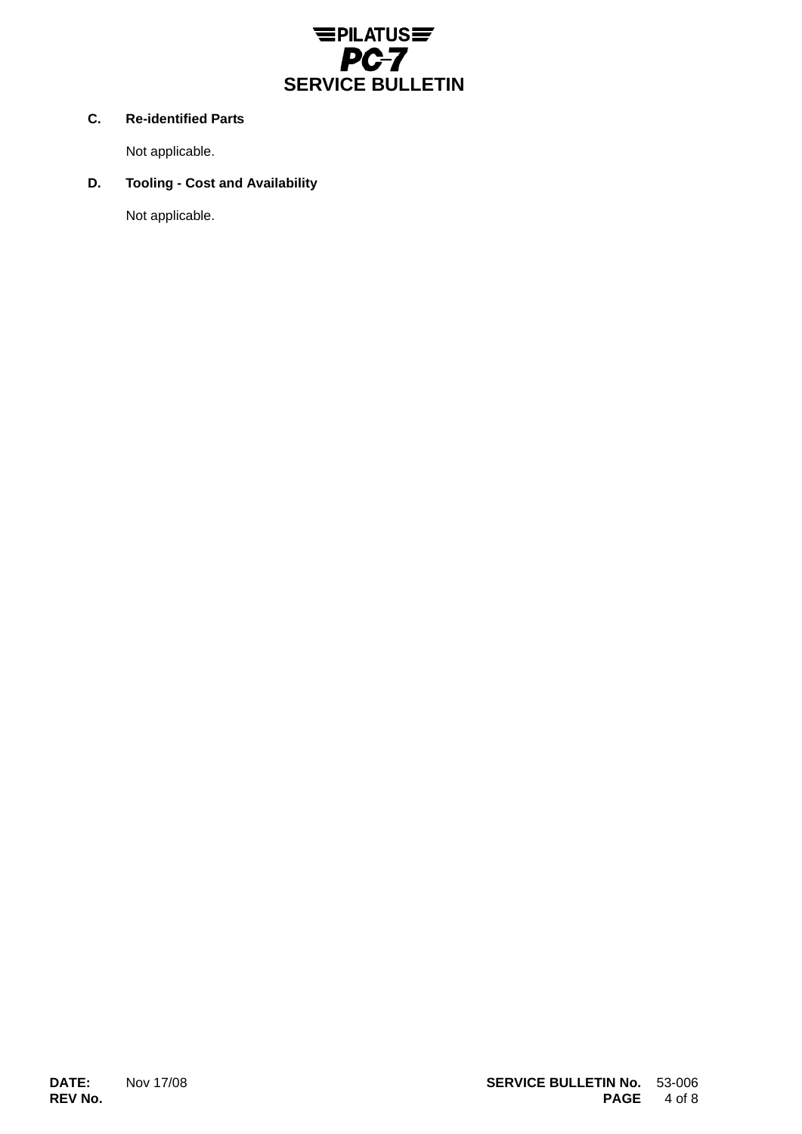

# **C. Re-identified Parts**

Not applicable.

# **D. Tooling - Cost and Availability**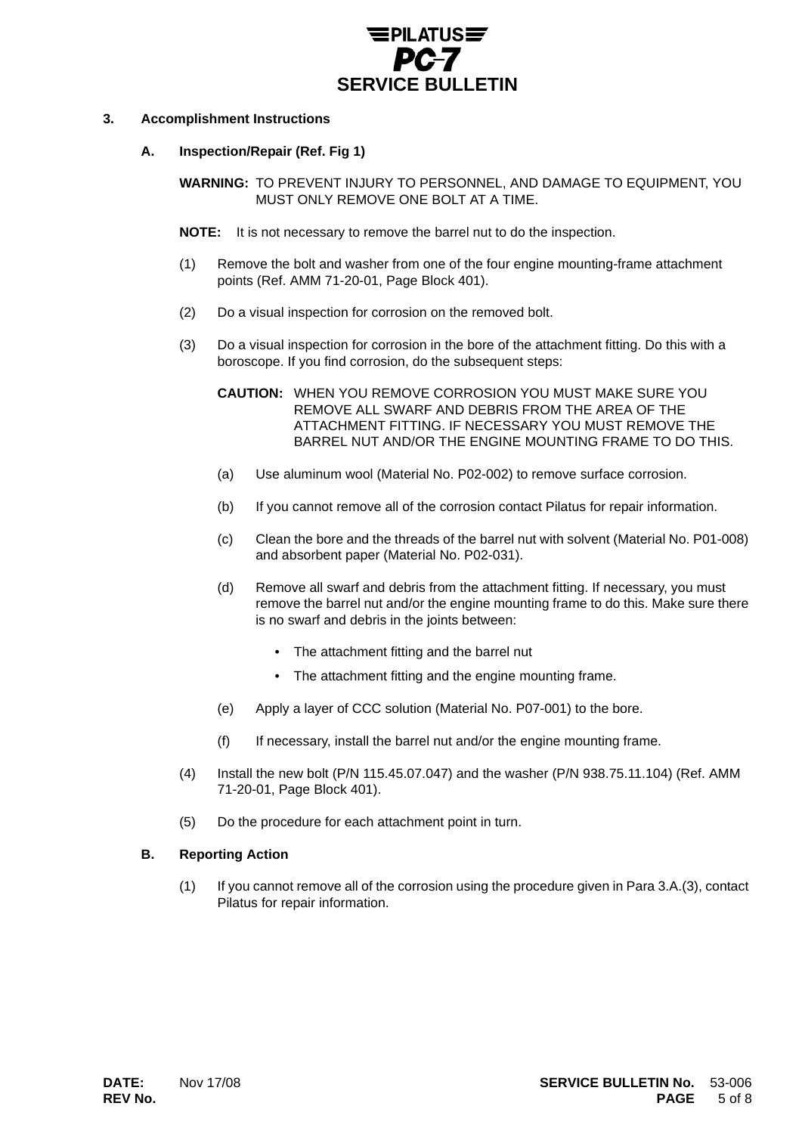

# **3. Accomplishment Instructions**

# **A. Inspection/Repair (Ref. Fig 1)**

**WARNING:** TO PREVENT INJURY TO PERSONNEL, AND DAMAGE TO EQUIPMENT, YOU MUST ONLY REMOVE ONE BOLT AT A TIME.

- **NOTE:** It is not necessary to remove the barrel nut to do the inspection.
- (1) Remove the bolt and washer from one of the four engine mounting-frame attachment points (Ref. AMM 71-20-01, Page Block 401).
- (2) Do a visual inspection for corrosion on the removed bolt.
- (3) Do a visual inspection for corrosion in the bore of the attachment fitting. Do this with a boroscope. If you find corrosion, do the subsequent steps:
	- **CAUTION:** WHEN YOU REMOVE CORROSION YOU MUST MAKE SURE YOU REMOVE ALL SWARF AND DEBRIS FROM THE AREA OF THE ATTACHMENT FITTING. IF NECESSARY YOU MUST REMOVE THE BARREL NUT AND/OR THE ENGINE MOUNTING FRAME TO DO THIS.
	- (a) Use aluminum wool (Material No. P02-002) to remove surface corrosion.
	- (b) If you cannot remove all of the corrosion contact Pilatus for repair information.
	- (c) Clean the bore and the threads of the barrel nut with solvent (Material No. P01-008) and absorbent paper (Material No. P02-031).
	- (d) Remove all swarf and debris from the attachment fitting. If necessary, you must remove the barrel nut and/or the engine mounting frame to do this. Make sure there is no swarf and debris in the joints between:
		- The attachment fitting and the barrel nut
		- The attachment fitting and the engine mounting frame.
	- (e) Apply a layer of CCC solution (Material No. P07-001) to the bore.
	- (f) If necessary, install the barrel nut and/or the engine mounting frame.
- (4) Install the new bolt (P/N 115.45.07.047) and the washer (P/N 938.75.11.104) (Ref. AMM 71-20-01, Page Block 401).
- (5) Do the procedure for each attachment point in turn.

# **B. Reporting Action**

(1) If you cannot remove all of the corrosion using the procedure given in Para 3.A.(3), contact Pilatus for repair information.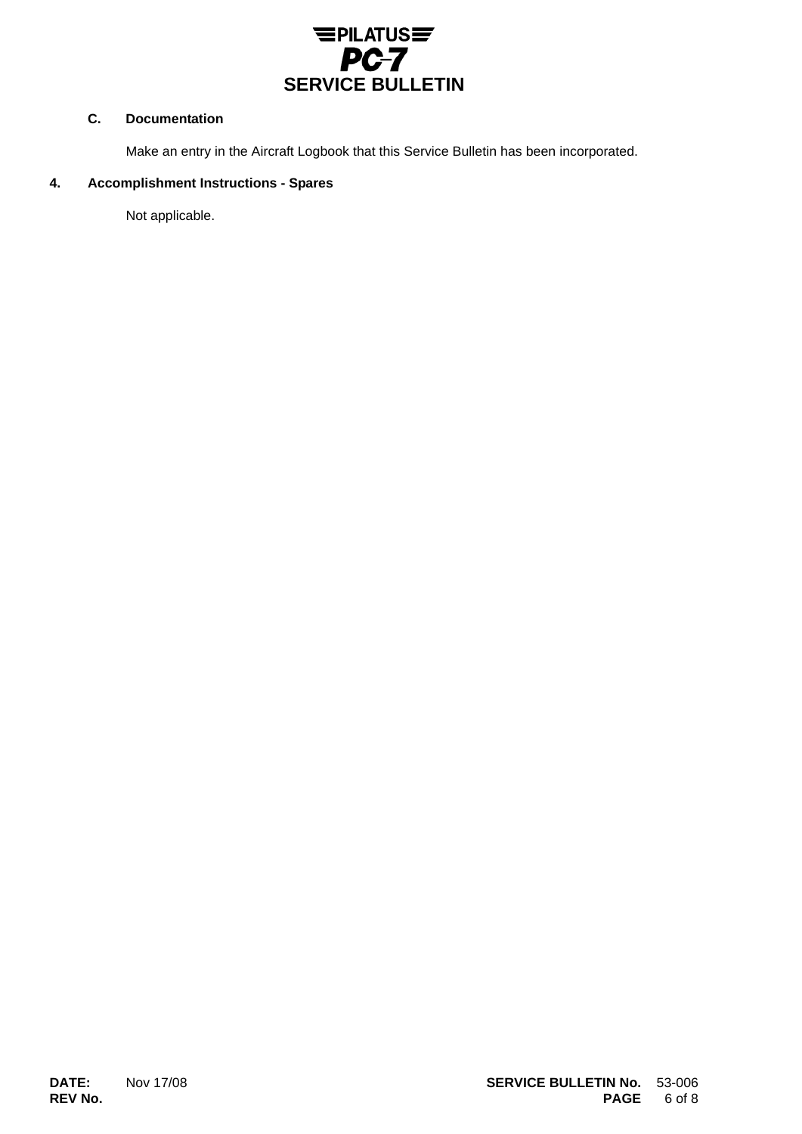

# **C. Documentation**

Make an entry in the Aircraft Logbook that this Service Bulletin has been incorporated.

#### **4. Accomplishment Instructions - Spares**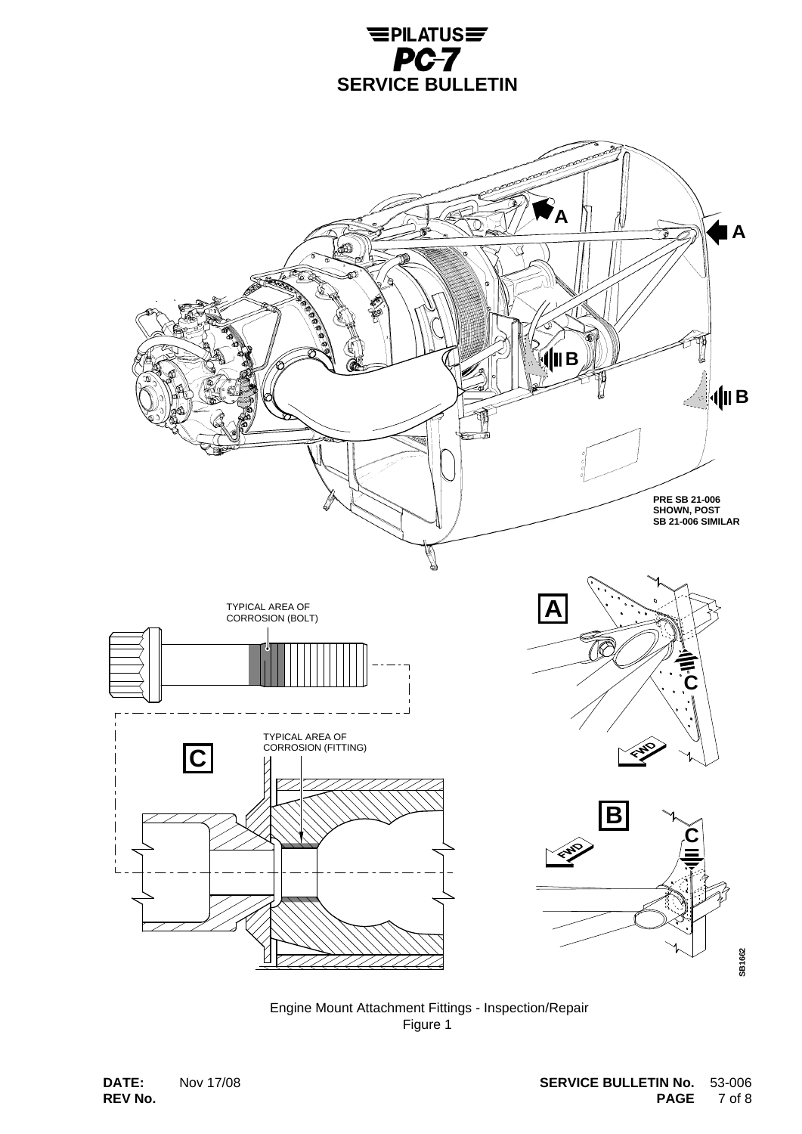



 Engine Mount Attachment Fittings - Inspection/Repair Figure 1